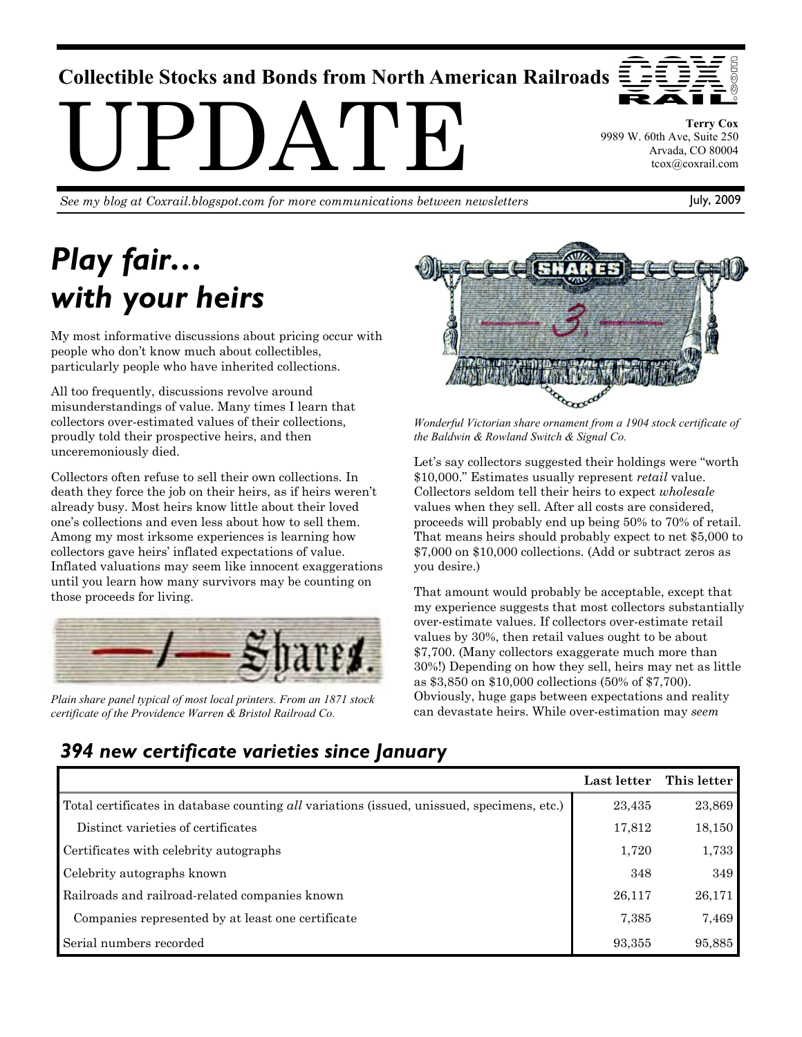## **Collectible Stocks and Bonds from North American Railroads**

UPDATE

*See my blog at Coxrail.blogspot.com for more communications between newsletters*

# *Play fair… with your heirs*

My most informative discussions about pricing occur with people who don't know much about collectibles, particularly people who have inherited collections.

All too frequently, discussions revolve around misunderstandings of value. Many times I learn that collectors over-estimated values of their collections, proudly told their prospective heirs, and then unceremoniously died.

Collectors often refuse to sell their own collections. In death they force the job on their heirs, as if heirs weren't already busy. Most heirs know little about their loved one's collections and even less about how to sell them. Among my most irksome experiences is learning how collectors gave heirs' inflated expectations of value. Inflated valuations may seem like innocent exaggerations until you learn how many survivors may be counting on those proceeds for living.



*Plain share panel typical of most local printers. From an 1871 stock certificate of the Providence Warren & Bristol Railroad Co.* 



*Wonderful Victorian share ornament from a 1904 stock certificate of the Baldwin & Rowland Switch & Signal Co.* 

Let's say collectors suggested their holdings were "worth \$10,000." Estimates usually represent *retail* value. Collectors seldom tell their heirs to expect *wholesale* values when they sell. After all costs are considered, proceeds will probably end up being 50% to 70% of retail. That means heirs should probably expect to net \$5,000 to \$7,000 on \$10,000 collections. (Add or subtract zeros as you desire.)

That amount would probably be acceptable, except that my experience suggests that most collectors substantially over-estimate values. If collectors over-estimate retail values by 30%, then retail values ought to be about \$7,700. (Many collectors exaggerate much more than 30%!) Depending on how they sell, heirs may net as little as \$3,850 on \$10,000 collections (50% of \$7,700). Obviously, huge gaps between expectations and reality can devastate heirs. While over-estimation may *seem*

## *394 new certificate varieties since January*

|                                                                                            | Last letter | This letter |
|--------------------------------------------------------------------------------------------|-------------|-------------|
| Total certificates in database counting all variations (issued, unissued, specimens, etc.) | 23,435      | 23,869      |
| Distinct varieties of certificates                                                         | 17,812      | 18,150      |
| Certificates with celebrity autographs                                                     | 1,720       | 1,733       |
| Celebrity autographs known                                                                 | 348         | 349         |
| Railroads and railroad-related companies known                                             | 26,117      | 26,171      |
| Companies represented by at least one certificate                                          | 7,385       | 7,469       |
| Serial numbers recorded                                                                    | 93,355      | 95,885      |

**Terry Cox**  9989 W. 60th Ave, Suite 250 Arvada, CO 80004 tcox@coxrail.com

July, 2009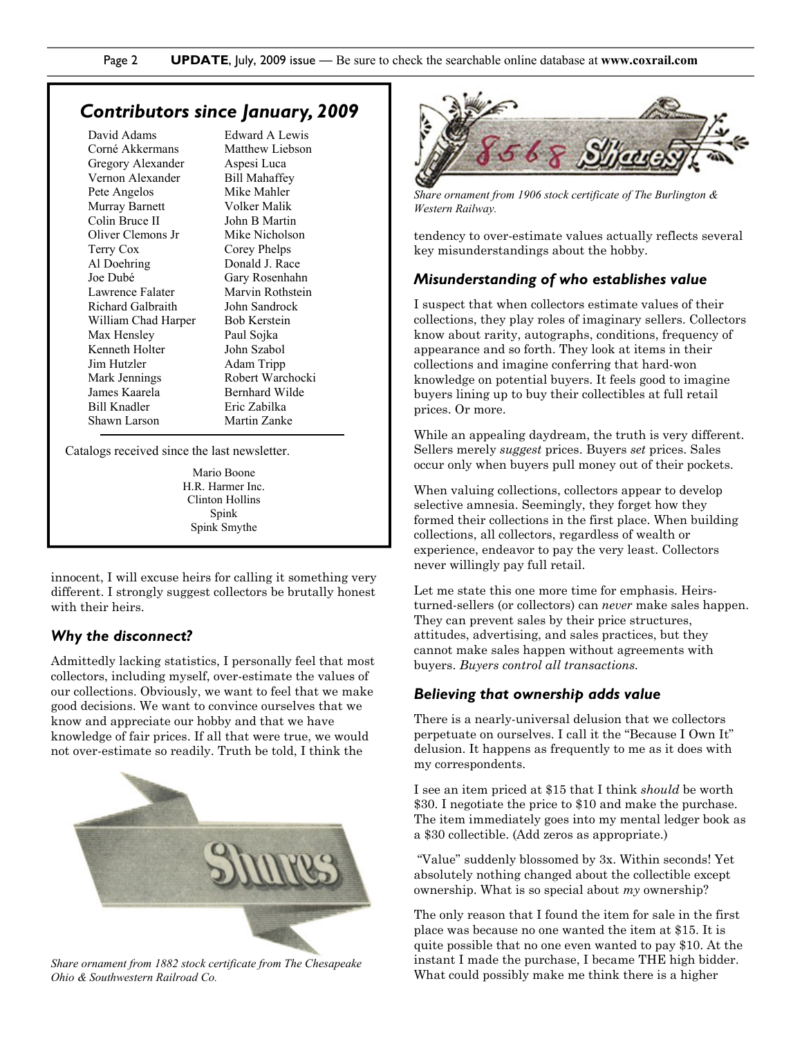### *Contributors since January, 2009*

David Adams Corné Akkermans Gregory Alexander Vernon Alexander Pete Angelos Murray Barnett Colin Bruce II Oliver Clemons Jr Terry Cox Al Doehring Joe Dubé Lawrence Falater Richard Galbraith William Chad Harper Max Hensley Kenneth Holter Jim Hutzler Mark Jennings James Kaarela Bill Knadler Shawn Larson

Edward A Lewis Matthew Liebson Aspesi Luca Bill Mahaffey Mike Mahler Volker Malik John B Martin Mike Nicholson Corey Phelps Donald J. Race Gary Rosenhahn Marvin Rothstein John Sandrock Bob Kerstein Paul Sojka John Szabol Adam Tripp Robert Warchocki Bernhard Wilde Eric Zabilka Martin Zanke

Catalogs received since the last newsletter.

Mario Boone H.R. Harmer Inc. Clinton Hollins Spink Spink Smythe

innocent, I will excuse heirs for calling it something very different. I strongly suggest collectors be brutally honest with their heirs.

#### *Why the disconnect?*

Admittedly lacking statistics, I personally feel that most collectors, including myself, over-estimate the values of our collections. Obviously, we want to feel that we make good decisions. We want to convince ourselves that we know and appreciate our hobby and that we have knowledge of fair prices. If all that were true, we would not over-estimate so readily. Truth be told, I think the



*Share ornament from 1882 stock certificate from The Chesapeake Ohio & Southwestern Railroad Co.* 



*Share ornament from 1906 stock certificate of The Burlington & Western Railway.* 

tendency to over-estimate values actually reflects several key misunderstandings about the hobby.

#### *Misunderstanding of who establishes value*

I suspect that when collectors estimate values of their collections, they play roles of imaginary sellers. Collectors know about rarity, autographs, conditions, frequency of appearance and so forth. They look at items in their collections and imagine conferring that hard-won knowledge on potential buyers. It feels good to imagine buyers lining up to buy their collectibles at full retail prices. Or more.

While an appealing daydream, the truth is very different. Sellers merely *suggest* prices. Buyers *set* prices. Sales occur only when buyers pull money out of their pockets.

When valuing collections, collectors appear to develop selective amnesia. Seemingly, they forget how they formed their collections in the first place. When building collections, all collectors, regardless of wealth or experience, endeavor to pay the very least. Collectors never willingly pay full retail.

Let me state this one more time for emphasis. Heirsturned-sellers (or collectors) can *never* make sales happen. They can prevent sales by their price structures, attitudes, advertising, and sales practices, but they cannot make sales happen without agreements with buyers. *Buyers control all transactions.* 

#### *Believing that ownership adds value*

There is a nearly-universal delusion that we collectors perpetuate on ourselves. I call it the "Because I Own It" delusion. It happens as frequently to me as it does with my correspondents.

I see an item priced at \$15 that I think *should* be worth \$30. I negotiate the price to \$10 and make the purchase. The item immediately goes into my mental ledger book as a \$30 collectible. (Add zeros as appropriate.)

 "Value" suddenly blossomed by 3x. Within seconds! Yet absolutely nothing changed about the collectible except ownership. What is so special about *my* ownership?

The only reason that I found the item for sale in the first place was because no one wanted the item at \$15. It is quite possible that no one even wanted to pay \$10. At the instant I made the purchase, I became THE high bidder. What could possibly make me think there is a higher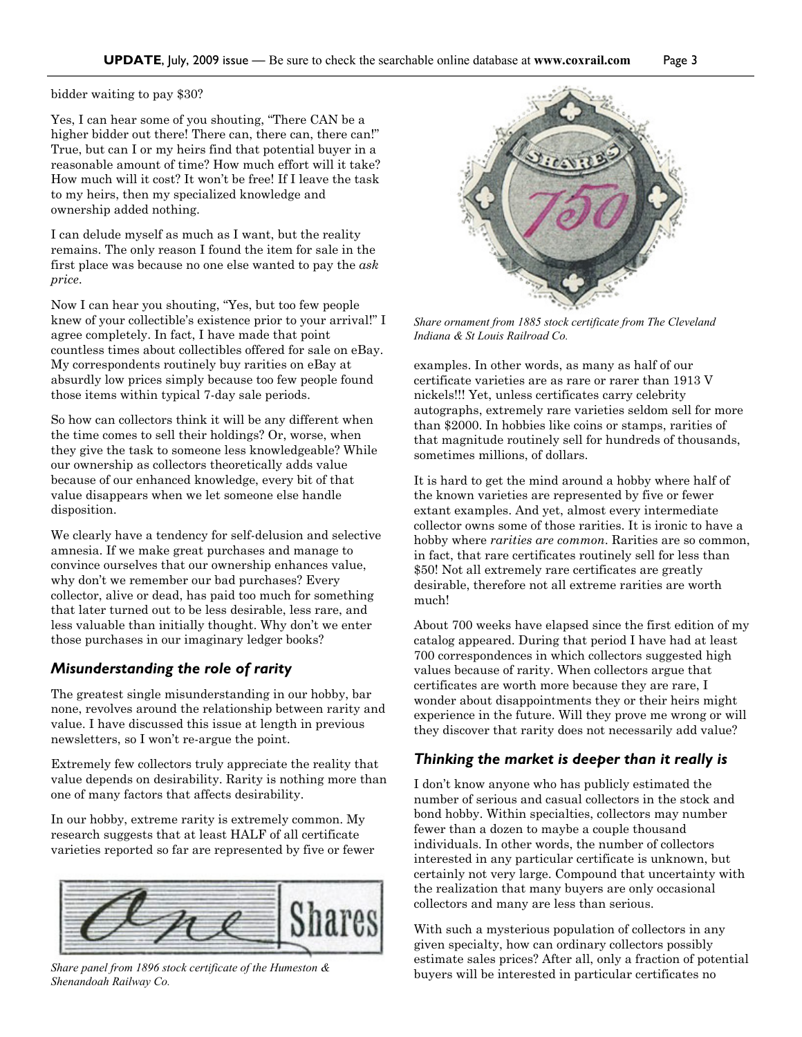#### bidder waiting to pay \$30?

Yes, I can hear some of you shouting, "There CAN be a higher bidder out there! There can, there can, there can!" True, but can I or my heirs find that potential buyer in a reasonable amount of time? How much effort will it take? How much will it cost? It won't be free! If I leave the task to my heirs, then my specialized knowledge and ownership added nothing.

I can delude myself as much as I want, but the reality remains. The only reason I found the item for sale in the first place was because no one else wanted to pay the *ask price*.

Now I can hear you shouting, "Yes, but too few people knew of your collectible's existence prior to your arrival!" I agree completely. In fact, I have made that point countless times about collectibles offered for sale on eBay. My correspondents routinely buy rarities on eBay at absurdly low prices simply because too few people found those items within typical 7-day sale periods.

So how can collectors think it will be any different when the time comes to sell their holdings? Or, worse, when they give the task to someone less knowledgeable? While our ownership as collectors theoretically adds value because of our enhanced knowledge, every bit of that value disappears when we let someone else handle disposition.

We clearly have a tendency for self-delusion and selective amnesia. If we make great purchases and manage to convince ourselves that our ownership enhances value, why don't we remember our bad purchases? Every collector, alive or dead, has paid too much for something that later turned out to be less desirable, less rare, and less valuable than initially thought. Why don't we enter those purchases in our imaginary ledger books?

#### *Misunderstanding the role of rarity*

The greatest single misunderstanding in our hobby, bar none, revolves around the relationship between rarity and value. I have discussed this issue at length in previous newsletters, so I won't re-argue the point.

Extremely few collectors truly appreciate the reality that value depends on desirability. Rarity is nothing more than one of many factors that affects desirability.

In our hobby, extreme rarity is extremely common. My research suggests that at least HALF of all certificate varieties reported so far are represented by five or fewer



*Shenandoah Railway Co.* 



*Share ornament from 1885 stock certificate from The Cleveland Indiana & St Louis Railroad Co.* 

examples. In other words, as many as half of our certificate varieties are as rare or rarer than 1913 V nickels!!! Yet, unless certificates carry celebrity autographs, extremely rare varieties seldom sell for more than \$2000. In hobbies like coins or stamps, rarities of that magnitude routinely sell for hundreds of thousands, sometimes millions, of dollars.

It is hard to get the mind around a hobby where half of the known varieties are represented by five or fewer extant examples. And yet, almost every intermediate collector owns some of those rarities. It is ironic to have a hobby where *rarities are common*. Rarities are so common, in fact, that rare certificates routinely sell for less than \$50! Not all extremely rare certificates are greatly desirable, therefore not all extreme rarities are worth much!

About 700 weeks have elapsed since the first edition of my catalog appeared. During that period I have had at least 700 correspondences in which collectors suggested high values because of rarity. When collectors argue that certificates are worth more because they are rare, I wonder about disappointments they or their heirs might experience in the future. Will they prove me wrong or will they discover that rarity does not necessarily add value?

#### *Thinking the market is deeper than it really is*

I don't know anyone who has publicly estimated the number of serious and casual collectors in the stock and bond hobby. Within specialties, collectors may number fewer than a dozen to maybe a couple thousand individuals. In other words, the number of collectors interested in any particular certificate is unknown, but certainly not very large. Compound that uncertainty with the realization that many buyers are only occasional collectors and many are less than serious.

With such a mysterious population of collectors in any given specialty, how can ordinary collectors possibly estimate sales prices? After all, only a fraction of potential buyers will be interested in particular certificates no *Share panel from 1896 stock certificate of the Humeston &*